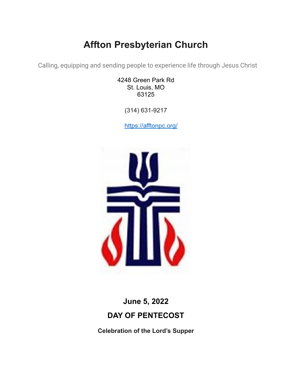# **Affton Presbyterian Church**

Calling, equipping and sending people to experience life through Jesus Christ

4248 Green Park Rd St. Louis, MO 63125

(314) 631-9217

<https://afftonpc.org/>



## **June 5, 2022 DAY OF PENTECOST**

**Celebration of the Lord's Supper**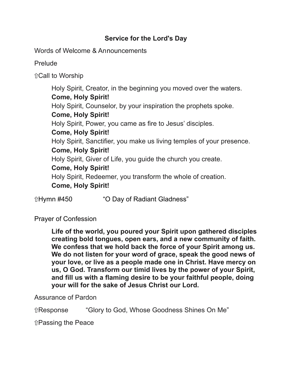### **Service for the Lord's Day**

Words of Welcome & Announcements

Prelude

⇧Call to Worship

Holy Spirit, Creator, in the beginning you moved over the waters. **Come, Holy Spirit!** Holy Spirit, Counselor, by your inspiration the prophets spoke. **Come, Holy Spirit!** Holy Spirit, Power, you came as fire to Jesus' disciples. **Come, Holy Spirit!** Holy Spirit, Sanctifier, you make us living temples of your presence. **Come, Holy Spirit!** Holy Spirit, Giver of Life, you guide the church you create. **Come, Holy Spirit!** Holy Spirit, Redeemer, you transform the whole of creation. **Come, Holy Spirit!**

ûHymn #450 "O Day of Radiant Gladness"

Prayer of Confession

**Life of the world, you poured your Spirit upon gathered disciples creating bold tongues, open ears, and a new community of faith. We confess that we hold back the force of your Spirit among us. We do not listen for your word of grace, speak the good news of your love, or live as a people made one in Christ. Have mercy on us, O God. Transform our timid lives by the power of your Spirit, and fill us with a flaming desire to be your faithful people, doing your will for the sake of Jesus Christ our Lord.**

Assurance of Pardon

⇧Response "Glory to God, Whose Goodness Shines On Me"

⇧Passing the Peace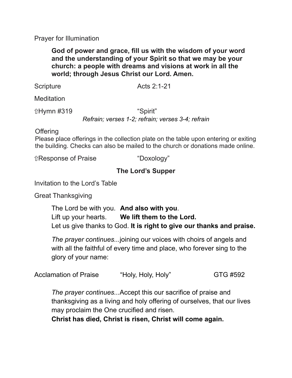Prayer for Illumination

**God of power and grace, fill us with the wisdom of your word and the understanding of your Spirit so that we may be your church: a people with dreams and visions at work in all the world; through Jesus Christ our Lord. Amen.**

Scripture Acts 2:1-21

**Meditation** 

⇧Hymn #319 "Spirit"

*Refrain; verses 1-2; refrain; verses 3-4; refrain*

**Offering** 

Please place offerings in the collection plate on the table upon entering or exiting the building. Checks can also be mailed to the church or donations made online.

⇧Response of Praise "Doxology"

### **The Lord's Supper**

Invitation to the Lord's Table

Great Thanksgiving

The Lord be with you. **And also with you**. Lift up your hearts. **We lift them to the Lord.** Let us give thanks to God. **It is right to give our thanks and praise.**

*The prayer continues...*joining our voices with choirs of angels and with all the faithful of every time and place, who forever sing to the glory of your name:

Acclamation of Praise "Holy, Holy, Holy" GTG #592

*The prayer continues...*Accept this our sacrifice of praise and thanksgiving as a living and holy offering of ourselves, that our lives may proclaim the One crucified and risen.

**Christ has died, Christ is risen, Christ will come again.**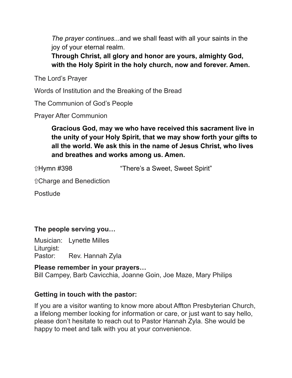*The prayer continues...*and we shall feast with all your saints in the joy of your eternal realm.

**Through Christ, all glory and honor are yours, almighty God, with the Holy Spirit in the holy church, now and forever. Amen.**

The Lord's Prayer

Words of Institution and the Breaking of the Bread

The Communion of God's People

Prayer After Communion

**Gracious God, may we who have received this sacrament live in the unity of your Holy Spirit, that we may show forth your gifts to all the world. We ask this in the name of Jesus Christ, who lives and breathes and works among us. Amen.**

ûHymn #398 **"There's a Sweet, Sweet Spirit**"

⇧Charge and Benediction

**Postlude** 

### **The people serving you…**

Musician: Lynette Milles Liturgist: Pastor: Rev. Hannah Zyla

**Please remember in your prayers…** Bill Campey, Barb Cavicchia, Joanne Goin, Joe Maze, Mary Philips

#### **Getting in touch with the pastor:**

If you are a visitor wanting to know more about Affton Presbyterian Church, a lifelong member looking for information or care, or just want to say hello, please don't hesitate to reach out to Pastor Hannah Zyla. She would be happy to meet and talk with you at your convenience.